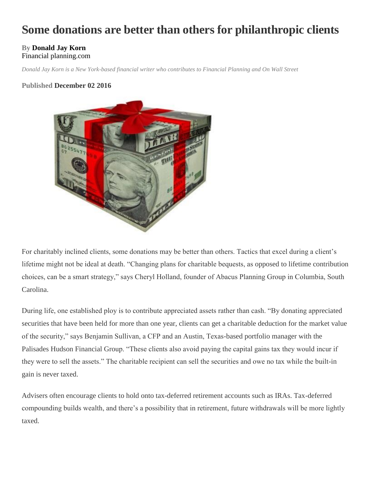# **Some donations are better than others for philanthropic clients**

#### **By [Donald Jay Korn](http://www.financial-planning.com/author/donald-jay-korn)**  [Financial planning.](http://www.financial-planning.com/tag/financial-planning)com

*Donald Jay Korn is a New York-based financial writer who contributes to Financial Planning and On Wall Street*

### **Published December 02 2016**



For charitably inclined clients, some donations may be better than others. Tactics that excel during a client's lifetime might not be ideal at death. "Changing plans for charitable bequests, as opposed to lifetime contribution choices, can be a smart strategy," says Cheryl Holland, founder of Abacus Planning Group in Columbia, South Carolina.

During life, one established ploy is to contribute appreciated assets rather than cash. "By donating appreciated securities that have been held for more than one year, clients can get a charitable deduction for the market value of the security," says Benjamin Sullivan, a CFP and an Austin, Texas-based portfolio manager with the Palisades Hudson Financial Group. "These clients also avoid paying the capital gains tax they would incur if they were to sell the assets." The charitable recipient can sell the securities and owe no tax while the built-in gain is never taxed.

Advisers often encourage clients to hold onto tax-deferred retirement accounts such as IRAs. Tax-deferred compounding builds wealth, and there's a possibility that in retirement, future withdrawals will be more lightly taxed.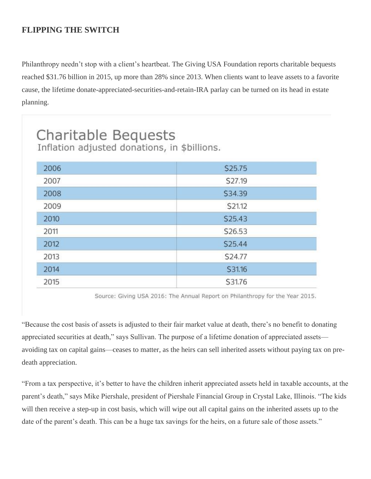# **FLIPPING THE SWITCH**

Philanthropy needn't stop with a client's heartbeat. The Giving USA Foundation reports charitable bequests reached \$31.76 billion in 2015, up more than 28% since 2013. When clients want to leave assets to a favorite cause, the lifetime donate-appreciated-securities-and-retain-IRA parlay can be turned on its head in estate planning.

| Charitable Bequests<br>Inflation adjusted donations, in \$billions. |                     |
|---------------------------------------------------------------------|---------------------|
|                                                                     |                     |
| 2006                                                                | \$25.75             |
| 2007                                                                | S27.19              |
| 2008                                                                | <b>S34.39</b>       |
| 2009                                                                | <b>S21.12</b>       |
| 2010                                                                | S <sub>25</sub> .43 |
| 2011                                                                | S26.53              |
| 2012                                                                | S25.44              |
| 2013                                                                | S24.77              |
| 2014                                                                | S31.16              |
| 2015                                                                | S31.76              |

Source: Giving USA 2016: The Annual Report on Philanthropy for the Year 2015.

"Because the cost basis of assets is adjusted to their fair market value at death, there's no benefit to donating appreciated securities at death," says Sullivan. The purpose of a lifetime donation of appreciated assets avoiding tax on capital gains—ceases to matter, as the heirs can sell inherited assets without paying tax on predeath appreciation.

"From a tax perspective, it's better to have the children inherit appreciated assets held in taxable accounts, at the parent's death," says Mike Piershale, president of Piershale Financial Group in Crystal Lake, Illinois. "The kids will then receive a step-up in cost basis, which will wipe out all capital gains on the inherited assets up to the date of the parent's death. This can be a huge tax savings for the heirs, on a future sale of those assets."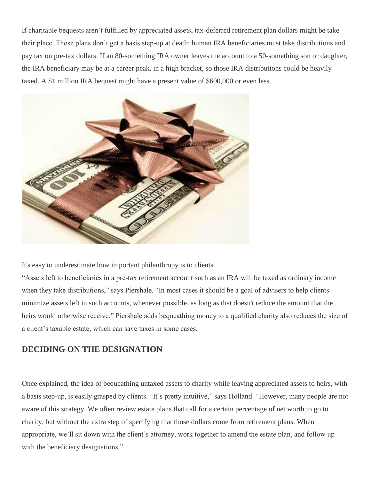If charitable bequests aren't fulfilled by appreciated assets, tax-deferred retirement plan dollars might be take their place. Those plans don't get a basis step-up at death: human IRA beneficiaries must take distributions and pay tax on pre-tax dollars. If an 80-something IRA owner leaves the account to a 50-something son or daughter, the IRA beneficiary may be at a career peak, in a high bracket, so those IRA distributions could be heavily taxed. A \$1 million IRA bequest might have a present value of \$600,000 or even less.



It's easy to underestimate how important philanthropy is to clients.

"Assets left to beneficiaries in a pre-tax retirement account such as an IRA will be taxed as ordinary income when they take distributions," says Piershale. "In most cases it should be a goal of advisers to help clients minimize assets left in such accounts, whenever possible, as long as that doesn't reduce the amount that the heirs would otherwise receive." Piershale adds bequeathing money to a qualified charity also reduces the size of a client's taxable estate, which can save taxes in some cases.

## **DECIDING ON THE DESIGNATION**

Once explained, the idea of bequeathing untaxed assets to charity while leaving appreciated assets to heirs, with a basis step-up, is easily grasped by clients. "It's pretty intuitive," says Holland. "However, many people are not aware of this strategy. We often review estate plans that call for a certain percentage of net worth to go to charity, but without the extra step of specifying that those dollars come from retirement plans. When appropriate, we'll sit down with the client's attorney, work together to amend the estate plan, and follow up with the beneficiary designations."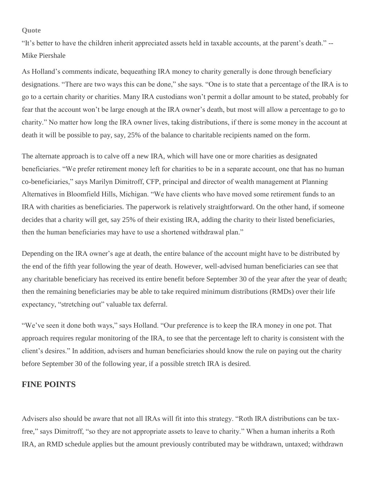#### **Quote**

"It's better to have the children inherit appreciated assets held in taxable accounts, at the parent's death." -- Mike Piershale

As Holland's comments indicate, bequeathing IRA money to charity generally is done through beneficiary designations. "There are two ways this can be done," she says. "One is to state that a percentage of the IRA is to go to a certain charity or charities. Many IRA custodians won't permit a dollar amount to be stated, probably for fear that the account won't be large enough at the IRA owner's death, but most will allow a percentage to go to charity." No matter how long the IRA owner lives, taking distributions, if there is some money in the account at death it will be possible to pay, say, 25% of the balance to charitable recipients named on the form.

The alternate approach is to calve off a new IRA, which will have one or more charities as designated beneficiaries. "We prefer retirement money left for charities to be in a separate account, one that has no human co-beneficiaries," says Marilyn Dimitroff, CFP, principal and director of wealth management at Planning Alternatives in Bloomfield Hills, Michigan. "We have clients who have moved some retirement funds to an IRA with charities as beneficiaries. The paperwork is relatively straightforward. On the other hand, if someone decides that a charity will get, say 25% of their existing IRA, adding the charity to their listed beneficiaries, then the human beneficiaries may have to use a shortened withdrawal plan."

Depending on the IRA owner's age at death, the entire balance of the account might have to be distributed by the end of the fifth year following the year of death. However, well-advised human beneficiaries can see that any charitable beneficiary has received its entire benefit before September 30 of the year after the year of death; then the remaining beneficiaries may be able to take required minimum distributions (RMDs) over their life expectancy, "stretching out" valuable tax deferral.

"We've seen it done both ways," says Holland. "Our preference is to keep the IRA money in one pot. That approach requires regular monitoring of the IRA, to see that the percentage left to charity is consistent with the client's desires." In addition, advisers and human beneficiaries should know the rule on paying out the charity before September 30 of the following year, if a possible stretch IRA is desired.

### **FINE POINTS**

Advisers also should be aware that not all IRAs will fit into this strategy. "Roth IRA distributions can be taxfree," says Dimitroff, "so they are not appropriate assets to leave to charity." When a human inherits a Roth IRA, an RMD schedule applies but the amount previously contributed may be withdrawn, untaxed; withdrawn